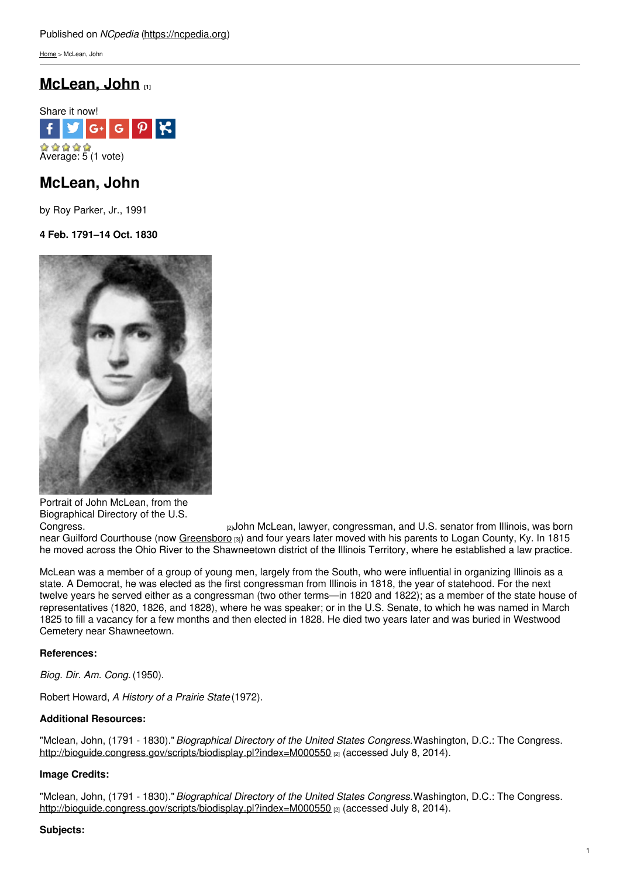[Home](https://ncpedia.org/) > McLean, John

# **[McLean,](https://ncpedia.org/biography/mclean-john) John [1]**



# **McLean, John**

by Roy Parker, Jr., 1991

**4 Feb. 1791–14 Oct. 1830**



Portrait of John McLean, from the Biographical Directory of the U.S.

[Congress.](http://bioguide.congress.gov/scripts/biodisplay.pl?index=M000550) [2]John McLean, lawyer, congressman, and U.S. senator from Illinois, was born near Guilford Courthouse (now [Greensboro](https://ncpedia.org/greensboro-0) [3]) and four years later moved with his parents to Logan County, Ky. In 1815 he moved across the Ohio River to the Shawneetown district of the Illinois Territory, where he established a law practice.

McLean was a member of a group of young men, largely from the South, who were influential in organizing Illinois as a state. A Democrat, he was elected as the first congressman from Illinois in 1818, the year of statehood. For the next twelve years he served either as a congressman (two other terms—in 1820 and 1822); as a member of the state house of representatives (1820, 1826, and 1828), where he was speaker; or in the U.S. Senate, to which he was named in March 1825 to fill a vacancy for a few months and then elected in 1828. He died two years later and was buried in Westwood Cemetery near Shawneetown.

### **References:**

*Biog. Dir. Am. Cong.* (1950).

Robert Howard, *A History of a Prairie State*(1972).

### **Additional Resources:**

"Mclean, John, (1791 - 1830)."*Biographical Directory of the United States Congress.*Washington, D.C.: The Congress. <http://bioguide.congress.gov/scripts/biodisplay.pl?index=M000550> [2] (accessed July 8, 2014).

### **Image Credits:**

"Mclean, John, (1791 - 1830)."*Biographical Directory of the United States Congress.*Washington, D.C.: The Congress. <http://bioguide.congress.gov/scripts/biodisplay.pl?index=M000550> [2] (accessed July 8, 2014).

### **Subjects:**